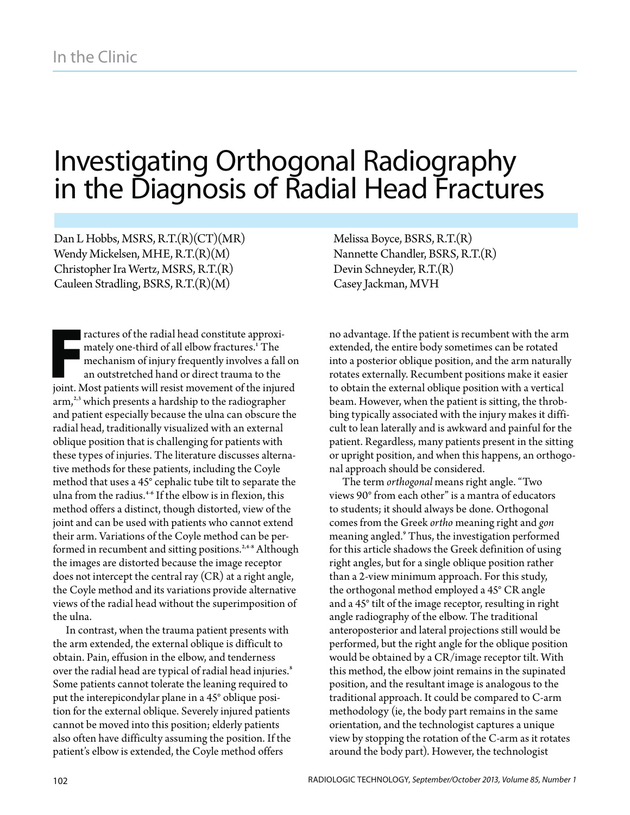# Investigating Orthogonal Radiography in the Diagnosis of Radial Head Fractures

Dan L Hobbs, MSRS, R.T.(R)(CT)(MR) Wendy Mickelsen, MHE, R.T.(R)(M) Christopher Ira Wertz, MSRS, R.T.(R) Cauleen Stradling, BSRS, R.T.(R)(M)

joint. N<br>arm,  $^{2,3}$ , and pat<br>radial h<br>phlique ractures of the radial head constitute approximately one-third of all elbow fractures.1 The mechanism of injury frequently involves a fall on an outstretched hand or direct trauma to the joint. Most patients will resist movement of the injured arm,<sup>2,3</sup> which presents a hardship to the radiographer and patient especially because the ulna can obscure the radial head, traditionally visualized with an external oblique position that is challenging for patients with these types of injuries. The literature discusses alternative methods for these patients, including the Coyle method that uses a 45° cephalic tube tilt to separate the ulna from the radius.<sup>4-6</sup> If the elbow is in flexion, this method offers a distinct, though distorted, view of the joint and can be used with patients who cannot extend their arm. Variations of the Coyle method can be performed in recumbent and sitting positions.<sup>2,4-8</sup> Although the images are distorted because the image receptor does not intercept the central ray (CR) at a right angle, the Coyle method and its variations provide alternative views of the radial head without the superimposition of the ulna.

In contrast, when the trauma patient presents with the arm extended, the external oblique is difficult to obtain. Pain, effusion in the elbow, and tenderness over the radial head are typical of radial head injuries.<sup>8</sup> Some patients cannot tolerate the leaning required to put the interepicondylar plane in a 45° oblique position for the external oblique. Severely injured patients cannot be moved into this position; elderly patients also often have difficulty assuming the position. If the patient's elbow is extended, the Coyle method offers

Melissa Boyce, BSRS, R.T.(R) Nannette Chandler, BSRS, R.T.(R) Devin Schneyder, R.T.(R) Casey Jackman, MVH

no advantage. If the patient is recumbent with the arm extended, the entire body sometimes can be rotated into a posterior oblique position, and the arm naturally rotates externally. Recumbent positions make it easier to obtain the external oblique position with a vertical beam. However, when the patient is sitting, the throbbing typically associated with the injury makes it difficult to lean laterally and is awkward and painful for the patient. Regardless, many patients present in the sitting or upright position, and when this happens, an orthogonal approach should be considered.

The term *orthogonal* means right angle. "Two views 90° from each other" is a mantra of educators to students; it should always be done. Orthogonal comes from the Greek *ortho* meaning right and *gon* meaning angled.<sup>9</sup> Thus, the investigation performed for this article shadows the Greek definition of using right angles, but for a single oblique position rather than a 2-view minimum approach. For this study, the orthogonal method employed a 45° CR angle and a 45° tilt of the image receptor, resulting in right angle radiography of the elbow. The traditional anteroposterior and lateral projections still would be performed, but the right angle for the oblique position would be obtained by a CR/image receptor tilt. With this method, the elbow joint remains in the supinated position, and the resultant image is analogous to the traditional approach. It could be compared to C-arm methodology (ie, the body part remains in the same orientation, and the technologist captures a unique view by stopping the rotation of the C-arm as it rotates around the body part). However, the technologist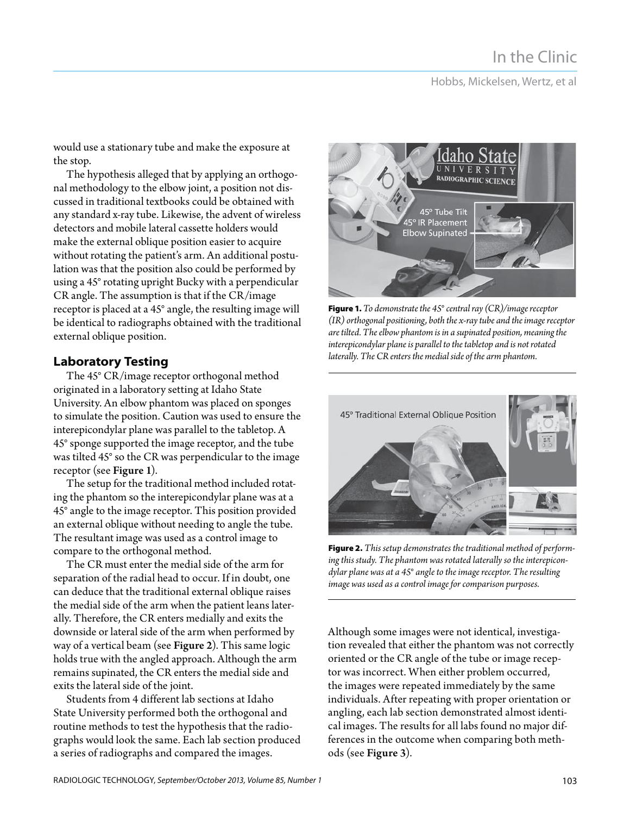### Hobbs, Mickelsen, Wertz, et al

would use a stationary tube and make the exposure at the stop.

The hypothesis alleged that by applying an orthogonal methodology to the elbow joint, a position not discussed in traditional textbooks could be obtained with any standard x-ray tube. Likewise, the advent of wireless detectors and mobile lateral cassette holders would make the external oblique position easier to acquire without rotating the patient's arm. An additional postulation was that the position also could be performed by using a 45° rotating upright Bucky with a perpendicular CR angle. The assumption is that if the CR/image receptor is placed at a 45° angle, the resulting image will be identical to radiographs obtained with the traditional external oblique position.

The 45° CR/image receptor orthogonal method originated in a laboratory setting at Idaho State University. An elbow phantom was placed on sponges to simulate the position. Caution was used to ensure the interepicondylar plane was parallel to the tabletop. A 45° sponge supported the image receptor, and the tube was tilted 45° so the CR was perpendicular to the image receptor (see Figure 1).

The setup for the traditional method included rotating the phantom so the interepicondylar plane was at a 45° angle to the image receptor. This position provided an external oblique without needing to angle the tube. The resultant image was used as a control image to compare to the orthogonal method.

The CR must enter the medial side of the arm for separation of the radial head to occur. If in doubt, one can deduce that the traditional external oblique raises the medial side of the arm when the patient leans laterally. Therefore, the CR enters medially and exits the downside or lateral side of the arm when performed by way of a vertical beam (see Figure 2). This same logic holds true with the angled approach. Although the arm remains supinated, the CR enters the medial side and exits the lateral side of the joint.

Students from 4 different lab sections at Idaho State University performed both the orthogonal and routine methods to test the hypothesis that the radiographs would look the same. Each lab section produced a series of radiographs and compared the images.



**Figure 1.** *To demonstrate the 45° central ray (CR)/image receptor (IR) orthogonal positioning, both the x-ray tube and the image receptor are tilted. The elbow phantom is in a supinated position, meaning the interepicondylar plane is parallel to the tabletop and is not rotated laterally. The CR enters the medial side of the arm phantom.*



**Figure 2.** *This setup demonstrates the traditional method of performing this study. The phantom was rotated laterally so the interepicondylar plane was at a 45° angle to the image receptor. The resulting image was used as a control image for comparison purposes.*

Although some images were not identical, investigation revealed that either the phantom was not correctly oriented or the CR angle of the tube or image receptor was incorrect. When either problem occurred, the images were repeated immediately by the same individuals. After repeating with proper orientation or angling, each lab section demonstrated almost identical images. The results for all labs found no major differences in the outcome when comparing both methods (see Figure 3).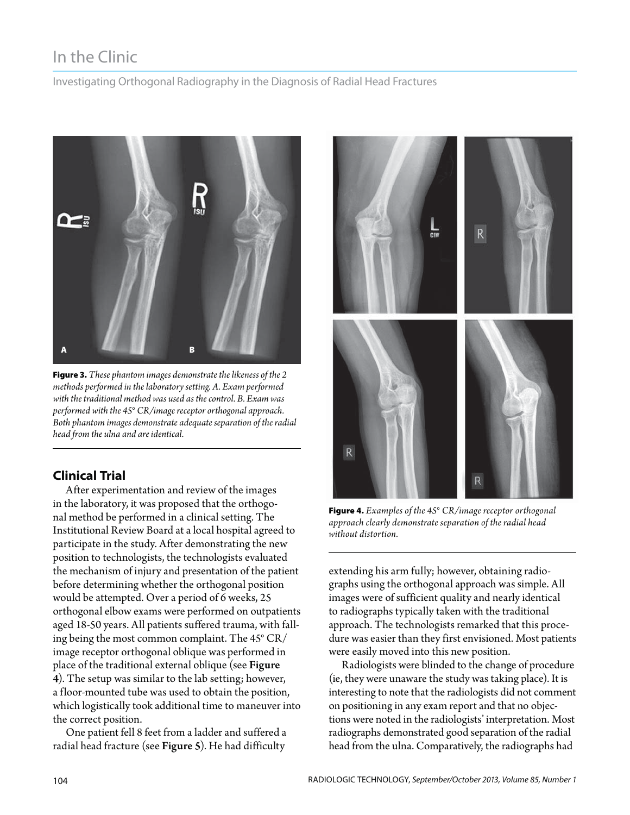# In the Clinic

Investigating Orthogonal Radiography in the Diagnosis of Radial Head Fractures



**Figure 3.** *These phantom images demonstrate the likeness of the 2 methods performed in the laboratory setting. A. Exam performed with the traditional method was used as the control. B. Exam was performed with the 45° CR/image receptor orthogonal approach. Both phantom images demonstrate adequate separation of the radial head from the ulna and are identical.*

### **Clinical Trial**

After experimentation and review of the images in the laboratory, it was proposed that the orthogonal method be performed in a clinical setting. The Institutional Review Board at a local hospital agreed to participate in the study. After demonstrating the new position to technologists, the technologists evaluated the mechanism of injury and presentation of the patient before determining whether the orthogonal position would be attempted. Over a period of 6 weeks, 25 orthogonal elbow exams were performed on outpatients aged 18-50 years. All patients suffered trauma, with falling being the most common complaint. The 45° CR/ image receptor orthogonal oblique was performed in place of the traditional external oblique (see Figure 4). The setup was similar to the lab setting; however, a floor-mounted tube was used to obtain the position, which logistically took additional time to maneuver into the correct position.

One patient fell 8 feet from a ladder and suffered a radial head fracture (see Figure 5). He had difficulty



**Figure 4.** *Examples of the 45° CR/image receptor orthogonal approach clearly demonstrate separation of the radial head without distortion.*

extending his arm fully; however, obtaining radiographs using the orthogonal approach was simple. All images were of sufficient quality and nearly identical to radiographs typically taken with the traditional approach. The technologists remarked that this procedure was easier than they first envisioned. Most patients were easily moved into this new position.

Radiologists were blinded to the change of procedure (ie, they were unaware the study was taking place). It is interesting to note that the radiologists did not comment on positioning in any exam report and that no objections were noted in the radiologists' interpretation. Most radiographs demonstrated good separation of the radial head from the ulna. Comparatively, the radiographs had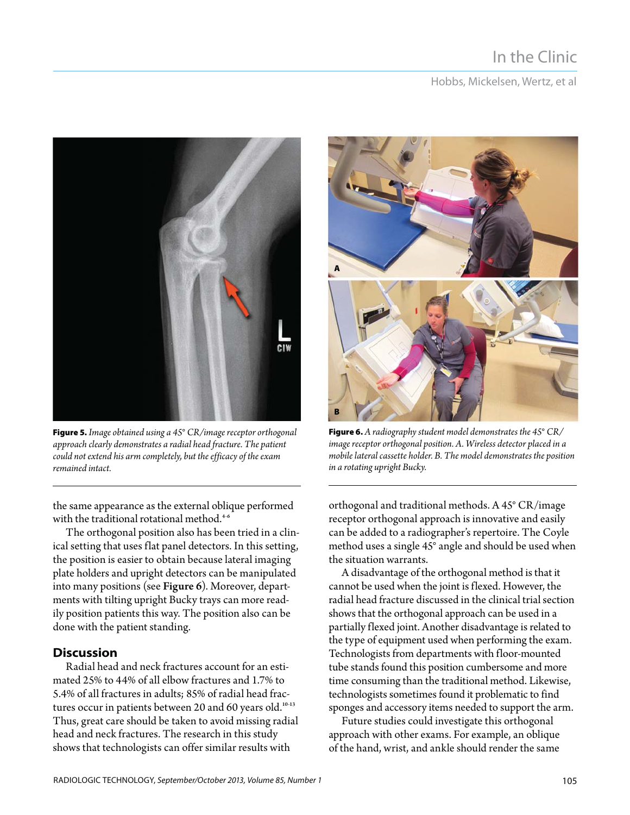# In the Clinic

Hobbs, Mickelsen, Wertz, et al



**Figure 5.** *Image obtained using a 45° CR/image receptor orthogonal approach clearly demonstrates a radial head fracture. The patient could not extend his arm completely, but the efficacy of the exam remained intact.*

the same appearance as the external oblique performed with the traditional rotational method.<sup>4-6</sup>

The orthogonal position also has been tried in a clinical setting that uses flat panel detectors. In this setting, the position is easier to obtain because lateral imaging plate holders and upright detectors can be manipulated into many positions (see Figure 6). Moreover, departments with tilting upright Bucky trays can more readily position patients this way. The position also can be done with the patient standing.

### **Discussion**

Radial head and neck fractures account for an estimated 25% to 44% of all elbow fractures and 1.7% to 5.4% of all fractures in adults; 85% of radial head fractures occur in patients between 20 and 60 years old.<sup>10-13</sup> Thus, great care should be taken to avoid missing radial head and neck fractures. The research in this study shows that technologists can offer similar results with



**Figure 6.** *A radiography student model demonstrates the 45° CR/ image receptor orthogonal position. A. Wireless detector placed in a mobile lateral cassette holder. B. The model demonstrates the position in a rotating upright Bucky.*

orthogonal and traditional methods. A 45° CR/image receptor orthogonal approach is innovative and easily can be added to a radiographer's repertoire. The Coyle method uses a single 45° angle and should be used when the situation warrants.

A disadvantage of the orthogonal method is that it cannot be used when the joint is flexed. However, the radial head fracture discussed in the clinical trial section shows that the orthogonal approach can be used in a partially flexed joint. Another disadvantage is related to the type of equipment used when performing the exam. Technologists from departments with floor-mounted tube stands found this position cumbersome and more time consuming than the traditional method. Likewise, technologists sometimes found it problematic to find sponges and accessory items needed to support the arm.

Future studies could investigate this orthogonal approach with other exams. For example, an oblique of the hand, wrist, and ankle should render the same